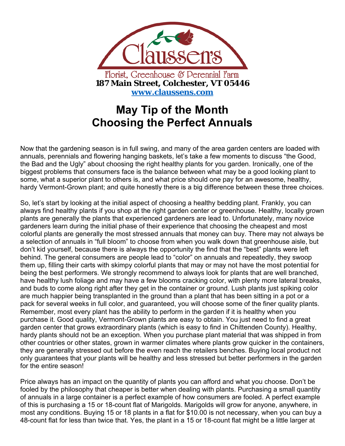

## **May Tip of the Month Choosing the Perfect Annuals**

Now that the gardening season is in full swing, and many of the area garden centers are loaded with annuals, perennials and flowering hanging baskets, let's take a few moments to discuss "the Good, the Bad and the Ugly" about choosing the right healthy plants for you garden. Ironically, one of the biggest problems that consumers face is the balance between what may be a good looking plant to some, what a superior plant to others is, and what price should one pay for an awesome, healthy, hardy Vermont-Grown plant; and quite honestly there is a big difference between these three choices.

So, let's start by looking at the initial aspect of choosing a healthy bedding plant. Frankly, you can always find healthy plants if you shop at the right garden center or greenhouse. Healthy, locally grown plants are generally the plants that experienced gardeners are lead to. Unfortunately, many novice gardeners learn during the initial phase of their experience that choosing the cheapest and most colorful plants are generally the most stressed annuals that money can buy. There may not always be a selection of annuals in "full bloom" to choose from when you walk down that greenhouse aisle, but don't kid yourself, because there is always the opportunity the find that the "best" plants were left behind. The general consumers are people lead to "color" on annuals and repeatedly, they swoop them up, filling their carts with skimpy colorful plants that may or may not have the most potential for being the best performers. We strongly recommend to always look for plants that are well branched, have healthy lush foliage and may have a few blooms cracking color, with plenty more lateral breaks, and buds to come along right after they get in the container or ground. Lush plants just spiking color are much happier being transplanted in the ground than a plant that has been sitting in a pot or a pack for several weeks in full color, and guaranteed, you will choose some of the finer quality plants. Remember, most every plant has the ability to perform in the garden if it is healthy when you purchase it. Good quality, Vermont-Grown plants are easy to obtain. You just need to find a great garden center that grows extraordinary plants (which is easy to find in Chittenden County). Healthy, hardy plants should not be an exception. When you purchase plant material that was shipped in from other countries or other states, grown in warmer climates where plants grow quicker in the containers, they are generally stressed out before the even reach the retailers benches. Buying local product not only guarantees that your plants will be healthy and less stressed but better performers in the garden for the entire season!

Price always has an impact on the quantity of plants you can afford and what you choose. Don't be fooled by the philosophy that cheaper is better when dealing with plants. Purchasing a small quantity of annuals in a large container is a perfect example of how consumers are fooled. A perfect example of this is purchasing a 15 or 18-count flat of Marigolds. Marigolds will grow for anyone, anywhere, in most any conditions. Buying 15 or 18 plants in a flat for \$10.00 is not necessary, when you can buy a 48-count flat for less than twice that. Yes, the plant in a 15 or 18-count flat might be a little larger at